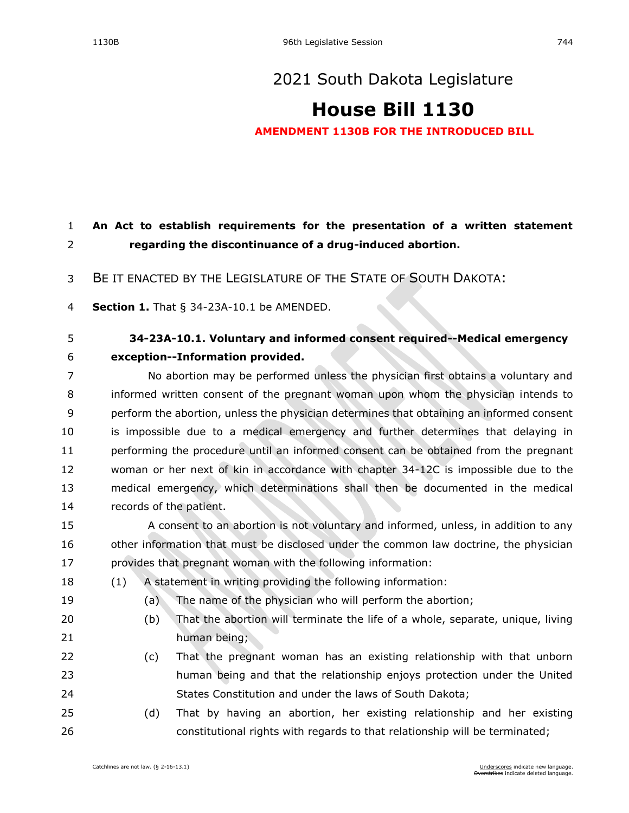## [2021 South Dakota Legislature](https://sdlegislature.gov/Session/Bills/44)

## **[House Bill 1130](https://sdlegislature.gov/Session/Bill/21932)**

**AMENDMENT 1130B FOR THE INTRODUCED BILL**

## **An Act to establish requirements for the presentation of a written statement regarding the discontinuance of a drug-induced abortion.**

BE IT ENACTED BY THE LEGISLATURE OF THE STATE OF SOUTH DAKOTA:

**Section 1.** [That § 34-23A-10.1 be AMENDED.](https://sdlegislature.gov/Statutes/Codified_Laws/DisplayStatute.aspx?Type=Statute&Statute=34-23A-10.1)

## **[34-23A-10.1. V](https://sdlegislature.gov/Statutes/Codified_Laws/DisplayStatute.aspx?Type=Statute&Statute=34-23A-10.1)oluntary and informed consent required--Medical emergency exception--Information provided.**

 No abortion may be performed unless the physician first obtains a voluntary and informed written consent of the pregnant woman upon whom the physician intends to perform the abortion, unless the physician determines that obtaining an informed consent is impossible due to a medical emergency and further determines that delaying in 11 performing the procedure until an informed consent can be obtained from the pregnant woman or her next of kin in accordance with chapter [34-12C](https://sdlegislature.gov/Statutes/Codified_Laws/DisplayStatute.aspx?Type=Statute&Statute=34-12C) is impossible due to the medical emergency, which determinations shall then be documented in the medical records of the patient.

15 A consent to an abortion is not voluntary and informed, unless, in addition to any 16 other information that must be disclosed under the common law doctrine, the physician provides that pregnant woman with the following information:

- (1) A statement in writing providing the following information:
- (a) The name of the physician who will perform the abortion;
- 
- (b) That the abortion will terminate the life of a whole, separate, unique, living
- human being;
- (c) That the pregnant woman has an existing relationship with that unborn human being and that the relationship enjoys protection under the United States Constitution and under the laws of South Dakota;
- (d) That by having an abortion, her existing relationship and her existing constitutional rights with regards to that relationship will be terminated;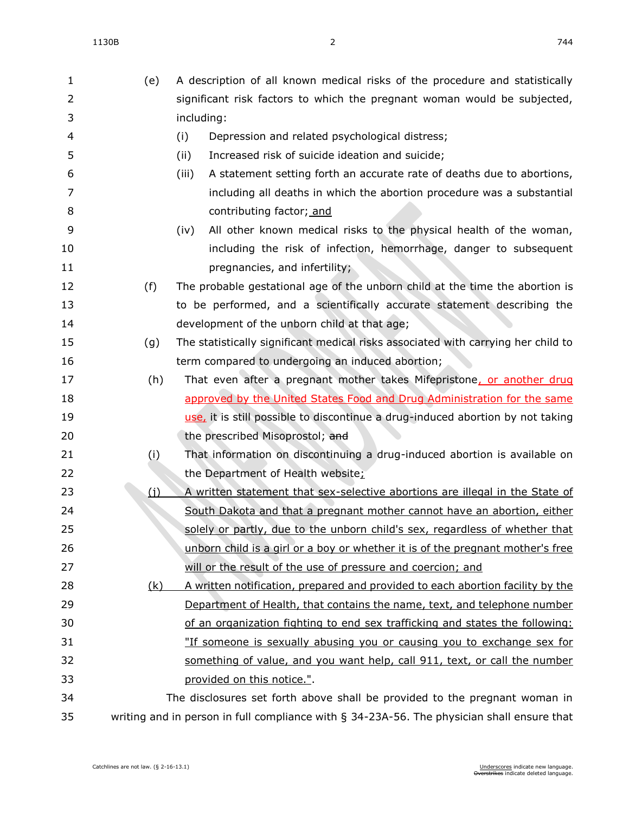| 1  | (e)        | A description of all known medical risks of the procedure and statistically                |
|----|------------|--------------------------------------------------------------------------------------------|
| 2  |            | significant risk factors to which the pregnant woman would be subjected,                   |
| 3  |            | including:                                                                                 |
| 4  |            | (i)<br>Depression and related psychological distress;                                      |
| 5  |            | Increased risk of suicide ideation and suicide;<br>(ii)                                    |
| 6  |            | A statement setting forth an accurate rate of deaths due to abortions,<br>(iii)            |
| 7  |            | including all deaths in which the abortion procedure was a substantial                     |
| 8  |            | contributing factor; and                                                                   |
| 9  |            | All other known medical risks to the physical health of the woman,<br>(iv)                 |
| 10 |            | including the risk of infection, hemorrhage, danger to subsequent                          |
| 11 |            | pregnancies, and infertility;                                                              |
| 12 | (f)        | The probable gestational age of the unborn child at the time the abortion is               |
| 13 |            | to be performed, and a scientifically accurate statement describing the                    |
| 14 |            | development of the unborn child at that age;                                               |
| 15 | (g)        | The statistically significant medical risks associated with carrying her child to          |
| 16 |            | term compared to undergoing an induced abortion;                                           |
| 17 | (h)        | That even after a pregnant mother takes Mifepristone, or another drug                      |
| 18 |            | approved by the United States Food and Drug Administration for the same                    |
| 19 |            | use, it is still possible to discontinue a drug-induced abortion by not taking             |
| 20 |            | the prescribed Misoprostol; and                                                            |
| 21 | (i)        | That information on discontinuing a drug-induced abortion is available on                  |
| 22 |            | the Department of Health website;                                                          |
| 23 | <u>(i)</u> | A written statement that sex-selective abortions are illegal in the State of               |
| 24 |            | South Dakota and that a pregnant mother cannot have an abortion, either                    |
| 25 |            | solely or partly, due to the unborn child's sex, regardless of whether that                |
| 26 |            | unborn child is a girl or a boy or whether it is of the pregnant mother's free             |
| 27 |            | will or the result of the use of pressure and coercion; and                                |
| 28 | (k)        | A written notification, prepared and provided to each abortion facility by the             |
| 29 |            | Department of Health, that contains the name, text, and telephone number                   |
| 30 |            | of an organization fighting to end sex trafficking and states the following:               |
| 31 |            | "If someone is sexually abusing you or causing you to exchange sex for                     |
| 32 |            | something of value, and you want help, call 911, text, or call the number                  |
| 33 |            | provided on this notice.".                                                                 |
| 34 |            | The disclosures set forth above shall be provided to the pregnant woman in                 |
| 35 |            | writing and in person in full compliance with § 34-23A-56. The physician shall ensure that |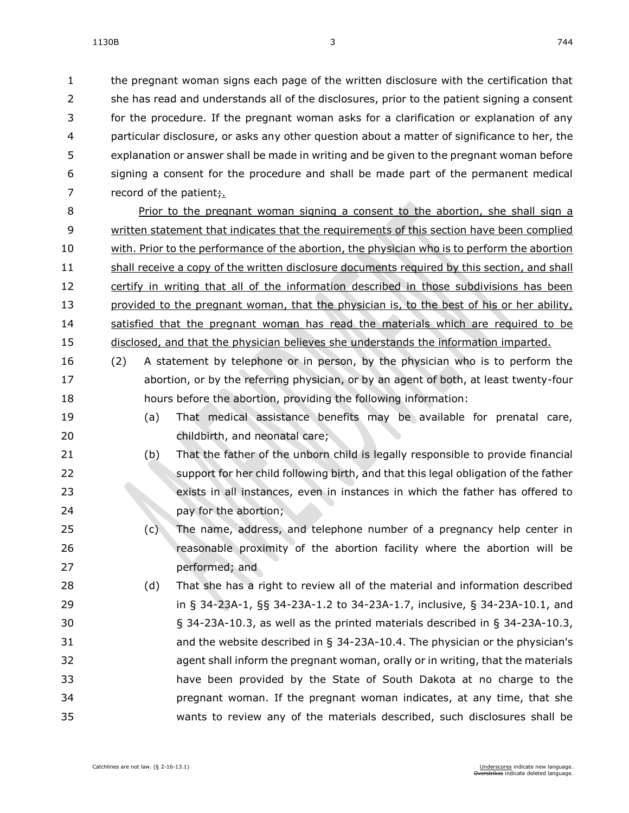the pregnant woman signs each page of the written disclosure with the certification that she has read and understands all of the disclosures, prior to the patient signing a consent for the procedure. If the pregnant woman asks for a clarification or explanation of any particular disclosure, or asks any other question about a matter of significance to her, the explanation or answer shall be made in writing and be given to the pregnant woman before signing a consent for the procedure and shall be made part of the permanent medical 7 record of the patient $\div$ .

 Prior to the pregnant woman signing a consent to the abortion, she shall sign a written statement that indicates that the requirements of this section have been complied with. Prior to the performance of the abortion, the physician who is to perform the abortion shall receive a copy of the written disclosure documents required by this section, and shall 12 certify in writing that all of the information described in those subdivisions has been provided to the pregnant woman, that the physician is, to the best of his or her ability, satisfied that the pregnant woman has read the materials which are required to be disclosed, and that the physician believes she understands the information imparted.

- (2) A statement by telephone or in person, by the physician who is to perform the abortion, or by the referring physician, or by an agent of both, at least twenty-four hours before the abortion, providing the following information:
- 
- (a) That medical assistance benefits may be available for prenatal care, childbirth, and neonatal care;
- (b) That the father of the unborn child is legally responsible to provide financial 22 support for her child following birth, and that this legal obligation of the father exists in all instances, even in instances in which the father has offered to **pay for the abortion;**
- (c) The name, address, and telephone number of a pregnancy help center in reasonable proximity of the abortion facility where the abortion will be performed; and
- (d) That she has a right to review all of the material and information described in § [34-23A-1,](https://sdlegislature.gov/Statutes/Codified_Laws/DisplayStatute.aspx?Type=Statute&Statute=34-23A-1) §§ [34-23A-1.2](https://sdlegislature.gov/Statutes/Codified_Laws/DisplayStatute.aspx?Type=Statute&Statute=34-23A-1.2) to [34-23A-1.7,](https://sdlegislature.gov/Statutes/Codified_Laws/DisplayStatute.aspx?Type=Statute&Statute=34-23A-1.7) inclusive, § [34-23A-10.1,](https://sdlegislature.gov/Statutes/Codified_Laws/DisplayStatute.aspx?Type=Statute&Statute=34-23A-10.1) and § [34-23A-10.3,](https://sdlegislature.gov/Statutes/Codified_Laws/DisplayStatute.aspx?Type=Statute&Statute=34-23A-10.3) as well as the printed materials described in § [34-23A-10.3,](https://sdlegislature.gov/Statutes/Codified_Laws/DisplayStatute.aspx?Type=Statute&Statute=34-23A-10.3) and the website described in § [34-23A-10.4.](https://sdlegislature.gov/Statutes/Codified_Laws/DisplayStatute.aspx?Type=Statute&Statute=34-23A-10.4) The physician or the physician's agent shall inform the pregnant woman, orally or in writing, that the materials have been provided by the State of South Dakota at no charge to the pregnant woman. If the pregnant woman indicates, at any time, that she wants to review any of the materials described, such disclosures shall be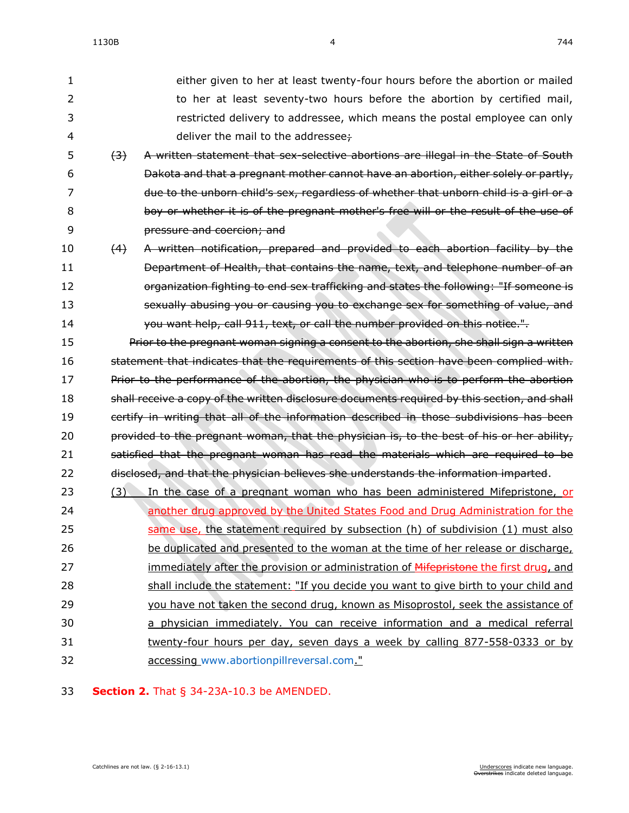1130B 244 744

| 1  |                  | either given to her at least twenty-four hours before the abortion or mailed                    |
|----|------------------|-------------------------------------------------------------------------------------------------|
|    |                  | to her at least seventy-two hours before the abortion by certified mail,                        |
| 3  |                  | restricted delivery to addressee, which means the postal employee can only                      |
| -4 |                  | deliver the mail to the addressee;                                                              |
| -5 | $\left(3\right)$ | A written statement that sex selective abortions are illegal in the State of South              |
|    |                  | Ballaka an duhak a noo oo ank na sklan aan sklaars an alaankan la sklan as lahan as sklan ang s |

- 6 **Bakota and that a pregnant mother cannot have an abortion, either solely or partly,** 7 due to the unborn child's sex, regardless of whether that unborn child is a girl or a 8 boy or whether it is of the pregnant mother's free will or the result of the use of 9 pressure and coercion; and
- 10 (4) A written notification, prepared and provided to each abortion facility by the 11 Department of Health, that contains the name, text, and telephone number of an 12 **organization fighting to end sex trafficking and states the following: "If someone is** 13 sexually abusing you or causing you to exchange sex for something of value, and 14 you want help, call 911, text, or call the number provided on this notice.".
- 15 **Prior to the pregnant woman signing a consent to the abortion, she shall sign a written** 16 statement that indicates that the requirements of this section have been complied with. 17 Prior to the performance of the abortion, the physician who is to perform the abortion 18 shall receive a copy of the written disclosure documents required by this section, and shall 19 certify in writing that all of the information described in those subdivisions has been 20 provided to the pregnant woman, that the physician is, to the best of his or her ability, 21 satisfied that the pregnant woman has read the materials which are required to be 22 disclosed, and that the physician believes she understands the information imparted.
- 23 (3) In the case of a pregnant woman who has been administered Mifepristone, or 24 another drug approved by the United States Food and Drug Administration for the 25 same use, the statement required by subsection (h) of subdivision (1) must also 26 be duplicated and presented to the woman at the time of her release or discharge, 27 immediately after the provision or administration of *Mifepristone* the first drug, and 28 shall include the statement: "If you decide you want to give birth to your child and 29 you have not taken the second drug, known as Misoprostol, seek the assistance of 30 a physician immediately. You can receive information and a medical referral 31 twenty-four hours per day, seven days a week by calling 877-558-0333 or by 32 accessing www.abortionpillreversal.com."

33 **Section 2.** [That § 34-23A-10.3](https://sdlegislature.gov/Statutes/Codified_Laws/2057120) be AMENDED.